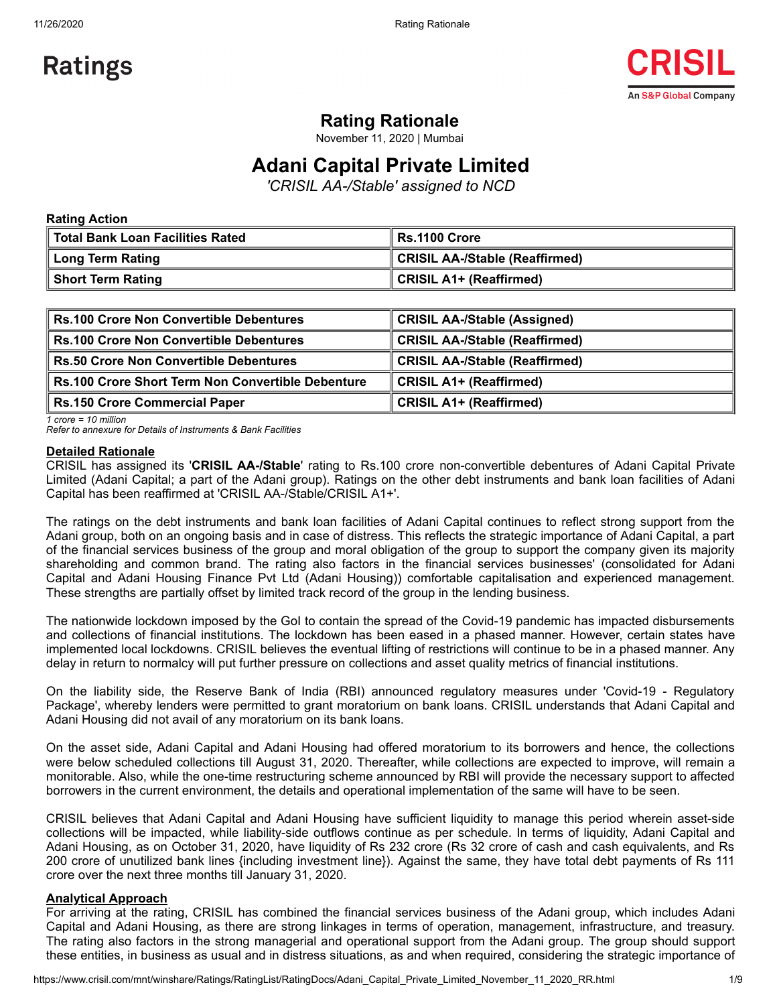

# **Rating Rationale**

November 11, 2020 | Mumbai

# **Adani Capital Private Limited**

*'CRISIL AA-/Stable' assigned to NCD*

| <b>Rating Action</b>               |                                |  |  |  |  |  |
|------------------------------------|--------------------------------|--|--|--|--|--|
| ∥ Total Bank Loan Facilities Rated | ∥ Rs.1100 Crore                |  |  |  |  |  |
| Long Term Rating                   | CRISIL AA-/Stable (Reaffirmed) |  |  |  |  |  |
| Short Term Rating                  | CRISIL A1+ (Reaffirmed)        |  |  |  |  |  |

| Rs.100 Crore Non Convertible Debentures                  | <b>CRISIL AA-/Stable (Assigned)</b>   |
|----------------------------------------------------------|---------------------------------------|
| <b>Rs.100 Crore Non Convertible Debentures</b>           | <b>CRISIL AA-/Stable (Reaffirmed)</b> |
| <b>Rs.50 Crore Non Convertible Debentures</b>            | <b>CRISIL AA-/Stable (Reaffirmed)</b> |
| <b>Rs.100 Crore Short Term Non Convertible Debenture</b> | <b>CRISIL A1+ (Reaffirmed)</b>        |
| <b>Rs.150 Crore Commercial Paper</b>                     | <b>CRISIL A1+ (Reaffirmed)</b>        |

*1 crore = 10 million*

*Refer to annexure for Details of Instruments & Bank Facilities*

#### **Detailed Rationale**

CRISIL has assigned its '**CRISIL AA-/Stable**' rating to Rs.100 crore non-convertible debentures of Adani Capital Private Limited (Adani Capital; a part of the Adani group). Ratings on the other debt instruments and bank loan facilities of Adani Capital has been reaffirmed at 'CRISIL AA-/Stable/CRISIL A1+'.

The ratings on the debt instruments and bank loan facilities of Adani Capital continues to reflect strong support from the Adani group, both on an ongoing basis and in case of distress. This reflects the strategic importance of Adani Capital, a part of the financial services business of the group and moral obligation of the group to support the company given its majority shareholding and common brand. The rating also factors in the financial services businesses' (consolidated for Adani Capital and Adani Housing Finance Pvt Ltd (Adani Housing)) comfortable capitalisation and experienced management. These strengths are partially offset by limited track record of the group in the lending business.

The nationwide lockdown imposed by the GoI to contain the spread of the Covid-19 pandemic has impacted disbursements and collections of financial institutions. The lockdown has been eased in a phased manner. However, certain states have implemented local lockdowns. CRISIL believes the eventual lifting of restrictions will continue to be in a phased manner. Any delay in return to normalcy will put further pressure on collections and asset quality metrics of financial institutions.

On the liability side, the Reserve Bank of India (RBI) announced regulatory measures under 'Covid-19 - Regulatory Package', whereby lenders were permitted to grant moratorium on bank loans. CRISIL understands that Adani Capital and Adani Housing did not avail of any moratorium on its bank loans.

On the asset side, Adani Capital and Adani Housing had offered moratorium to its borrowers and hence, the collections were below scheduled collections till August 31, 2020. Thereafter, while collections are expected to improve, will remain a monitorable. Also, while the one-time restructuring scheme announced by RBI will provide the necessary support to affected borrowers in the current environment, the details and operational implementation of the same will have to be seen.

CRISIL believes that Adani Capital and Adani Housing have sufficient liquidity to manage this period wherein asset-side collections will be impacted, while liability-side outflows continue as per schedule. In terms of liquidity, Adani Capital and Adani Housing, as on October 31, 2020, have liquidity of Rs 232 crore (Rs 32 crore of cash and cash equivalents, and Rs 200 crore of unutilized bank lines {including investment line}). Against the same, they have total debt payments of Rs 111 crore over the next three months till January 31, 2020.

### **Analytical Approach**

For arriving at the rating, CRISIL has combined the financial services business of the Adani group, which includes Adani Capital and Adani Housing, as there are strong linkages in terms of operation, management, infrastructure, and treasury. The rating also factors in the strong managerial and operational support from the Adani group. The group should support these entities, in business as usual and in distress situations, as and when required, considering the strategic importance of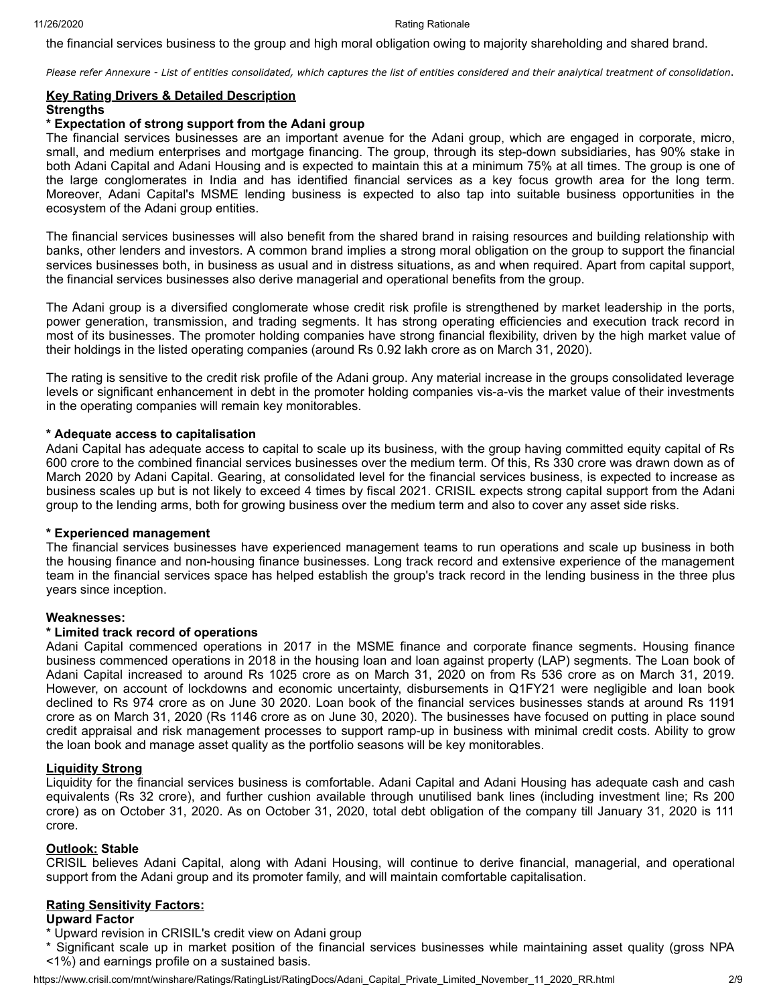the financial services business to the group and high moral obligation owing to majority shareholding and shared brand.

*Please refer Annexure - List of entities consolidated, which captures the list of entities considered and their analytical treatment of consolidation*.

#### **Key Rating Drivers & Detailed Description Strengths**

#### **\* Expectation of strong support from the Adani group**

The financial services businesses are an important avenue for the Adani group, which are engaged in corporate, micro, small, and medium enterprises and mortgage financing. The group, through its step-down subsidiaries, has 90% stake in both Adani Capital and Adani Housing and is expected to maintain this at a minimum 75% at all times. The group is one of the large conglomerates in India and has identified financial services as a key focus growth area for the long term. Moreover, Adani Capital's MSME lending business is expected to also tap into suitable business opportunities in the ecosystem of the Adani group entities.

The financial services businesses will also benefit from the shared brand in raising resources and building relationship with banks, other lenders and investors. A common brand implies a strong moral obligation on the group to support the financial services businesses both, in business as usual and in distress situations, as and when required. Apart from capital support, the financial services businesses also derive managerial and operational benefits from the group.

The Adani group is a diversified conglomerate whose credit risk profile is strengthened by market leadership in the ports, power generation, transmission, and trading segments. It has strong operating efficiencies and execution track record in most of its businesses. The promoter holding companies have strong financial flexibility, driven by the high market value of their holdings in the listed operating companies (around Rs 0.92 lakh crore as on March 31, 2020).

The rating is sensitive to the credit risk profile of the Adani group. Any material increase in the groups consolidated leverage levels or significant enhancement in debt in the promoter holding companies vis-a-vis the market value of their investments in the operating companies will remain key monitorables.

### **\* Adequate access to capitalisation**

Adani Capital has adequate access to capital to scale up its business, with the group having committed equity capital of Rs 600 crore to the combined financial services businesses over the medium term. Of this, Rs 330 crore was drawn down as of March 2020 by Adani Capital. Gearing, at consolidated level for the financial services business, is expected to increase as business scales up but is not likely to exceed 4 times by fiscal 2021. CRISIL expects strong capital support from the Adani group to the lending arms, both for growing business over the medium term and also to cover any asset side risks.

### **\* Experienced management**

The financial services businesses have experienced management teams to run operations and scale up business in both the housing finance and non-housing finance businesses. Long track record and extensive experience of the management team in the financial services space has helped establish the group's track record in the lending business in the three plus years since inception.

### **Weaknesses:**

### **\* Limited track record of operations**

Adani Capital commenced operations in 2017 in the MSME finance and corporate finance segments. Housing finance business commenced operations in 2018 in the housing loan and loan against property (LAP) segments. The Loan book of Adani Capital increased to around Rs 1025 crore as on March 31, 2020 on from Rs 536 crore as on March 31, 2019. However, on account of lockdowns and economic uncertainty, disbursements in Q1FY21 were negligible and loan book declined to Rs 974 crore as on June 30 2020. Loan book of the financial services businesses stands at around Rs 1191 crore as on March 31, 2020 (Rs 1146 crore as on June 30, 2020). The businesses have focused on putting in place sound credit appraisal and risk management processes to support ramp-up in business with minimal credit costs. Ability to grow the loan book and manage asset quality as the portfolio seasons will be key monitorables.

### **Liquidity Strong**

Liquidity for the financial services business is comfortable. Adani Capital and Adani Housing has adequate cash and cash equivalents (Rs 32 crore), and further cushion available through unutilised bank lines (including investment line; Rs 200 crore) as on October 31, 2020. As on October 31, 2020, total debt obligation of the company till January 31, 2020 is 111 crore.

#### **Outlook: Stable**

CRISIL believes Adani Capital, along with Adani Housing, will continue to derive financial, managerial, and operational support from the Adani group and its promoter family, and will maintain comfortable capitalisation.

### **Rating Sensitivity Factors:**

#### **Upward Factor**

- \* Upward revision in CRISIL's credit view on Adani group
- \* Significant scale up in market position of the financial services businesses while maintaining asset quality (gross NPA <1%) and earnings profile on a sustained basis.

https://www.crisil.com/mnt/winshare/Ratings/RatingList/RatingDocs/Adani\_Capital\_Private\_Limited\_November\_11\_2020\_RR.html 209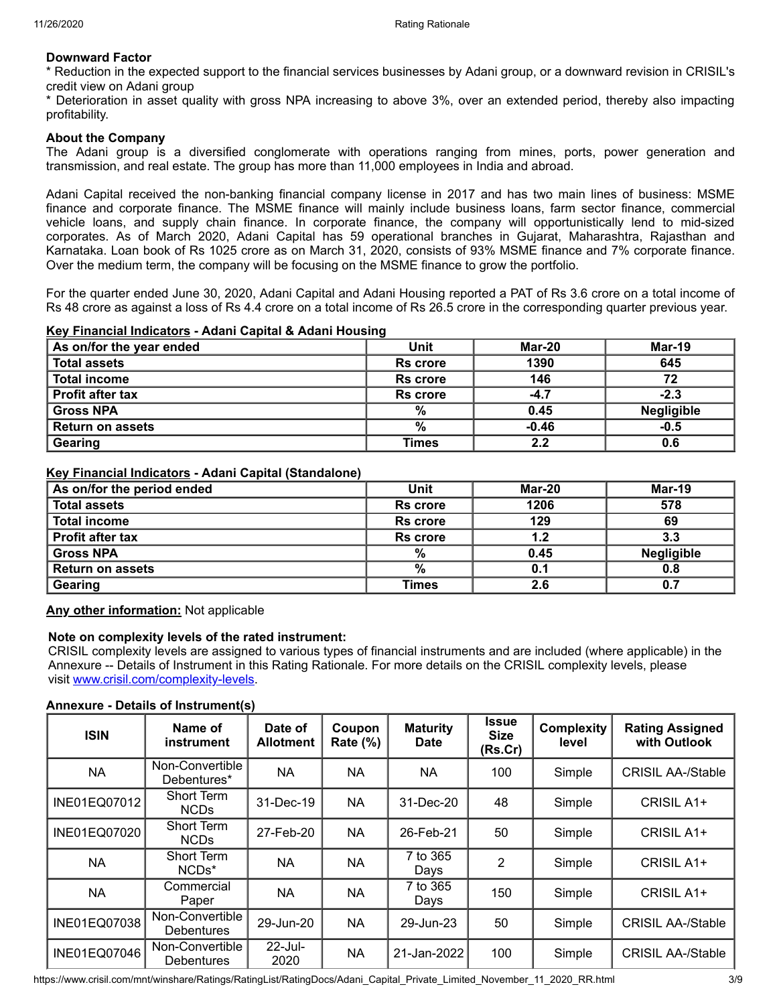### **Downward Factor**

\* Reduction in the expected support to the financial services businesses by Adani group, or a downward revision in CRISIL's credit view on Adani group

Deterioration in asset quality with gross NPA increasing to above 3%, over an extended period, thereby also impacting profitability.

#### **About the Company**

The Adani group is a diversified conglomerate with operations ranging from mines, ports, power generation and transmission, and real estate. The group has more than 11,000 employees in India and abroad.

Adani Capital received the non-banking financial company license in 2017 and has two main lines of business: MSME finance and corporate finance. The MSME finance will mainly include business loans, farm sector finance, commercial vehicle loans, and supply chain finance. In corporate finance, the company will opportunistically lend to mid-sized corporates. As of March 2020, Adani Capital has 59 operational branches in Gujarat, Maharashtra, Rajasthan and Karnataka. Loan book of Rs 1025 crore as on March 31, 2020, consists of 93% MSME finance and 7% corporate finance. Over the medium term, the company will be focusing on the MSME finance to grow the portfolio.

For the quarter ended June 30, 2020, Adani Capital and Adani Housing reported a PAT of Rs 3.6 crore on a total income of Rs 48 crore as against a loss of Rs 4.4 crore on a total income of Rs 26.5 crore in the corresponding quarter previous year.

### **Key Financial Indicators - Adani Capital & Adani Housing**

| As on/for the year ended | Unit            | Mar-20  | <b>Mar-19</b>     |
|--------------------------|-----------------|---------|-------------------|
| <b>Total assets</b>      | <b>Rs</b> crore | 1390    | 645               |
| <b>Total income</b>      | <b>Rs</b> crore | 146     | 72                |
| <b>Profit after tax</b>  | <b>Rs</b> crore | $-4.7$  | $-2.3$            |
| <b>Gross NPA</b>         | $\%$            | 0.45    | <b>Negligible</b> |
| <b>Return on assets</b>  | %               | $-0.46$ | $-0.5$            |
| Gearing                  | Times           | 2.2     | 0.6               |

#### **Key Financial Indicators - Adani Capital (Standalone)**

| As on/for the period ended | Unit            | Mar-20 | <b>Mar-19</b>     |
|----------------------------|-----------------|--------|-------------------|
| <b>Total assets</b>        | <b>Rs</b> crore | 1206   | 578               |
| <b>Total income</b>        | <b>Rs</b> crore | 129    | 69                |
| <b>Profit after tax</b>    | Rs crore        | 1.2    | 3.3               |
| <b>Gross NPA</b>           | $\frac{0}{0}$   | 0.45   | <b>Negligible</b> |
| <b>Return on assets</b>    | %               | 0.1    | 0.8               |
| Gearing                    | <b>Times</b>    | 2.6    | 0.7               |

**Any other information:** Not applicable

### **Note on complexity levels of the rated instrument:**

CRISIL complexity levels are assigned to various types of financial instruments and are included (where applicable) in the Annexure -- Details of Instrument in this Rating Rationale. For more details on the CRISIL complexity levels, please visit [www.crisil.com/complexity-levels](http://www.crisil.com/complexity-levels).

#### **Annexure - Details of Instrument(s)**

| <b>ISIN</b>  | Name of<br>instrument                | Date of<br><b>Allotment</b> | Coupon<br><b>Rate (%)</b> | <b>Maturity</b><br><b>Date</b> | <b>Issue</b><br><b>Size</b><br>(Rs.Cr) | <b>Complexity</b><br>level | <b>Rating Assigned</b><br>with Outlook |
|--------------|--------------------------------------|-----------------------------|---------------------------|--------------------------------|----------------------------------------|----------------------------|----------------------------------------|
| <b>NA</b>    | Non-Convertible<br>Debentures*       | NA                          | <b>NA</b>                 | <b>NA</b>                      | 100                                    | Simple                     | <b>CRISIL AA-/Stable</b>               |
| INE01EQ07012 | Short Term<br><b>NCDs</b>            | 31-Dec-19                   | <b>NA</b>                 | 31-Dec-20                      | 48                                     | Simple                     | CRISIL A1+                             |
| INE01EQ07020 | <b>Short Term</b><br><b>NCDs</b>     | 27-Feb-20                   | <b>NA</b>                 | 26-Feb-21                      | 50                                     | Simple                     | CRISIL A1+                             |
| <b>NA</b>    | Short Term<br>NCD <sub>s</sub> *     | ΝA                          | <b>NA</b>                 | 7 to 365<br>Days               | 2                                      | Simple                     | CRISIL A1+                             |
| <b>NA</b>    | Commercial<br>Paper                  | ΝA                          | NA                        | 7 to 365<br>Days               | 150                                    | Simple                     | CRISIL A1+                             |
| INE01EQ07038 | Non-Convertible<br><b>Debentures</b> | 29-Jun-20                   | NA.                       | 29-Jun-23                      | 50                                     | Simple                     | <b>CRISIL AA-/Stable</b>               |
| INE01EQ07046 | Non-Convertible<br><b>Debentures</b> | 22-Jul-<br>2020             | <b>NA</b>                 | 21-Jan-2022                    | 100                                    | Simple                     | <b>CRISIL AA-/Stable</b>               |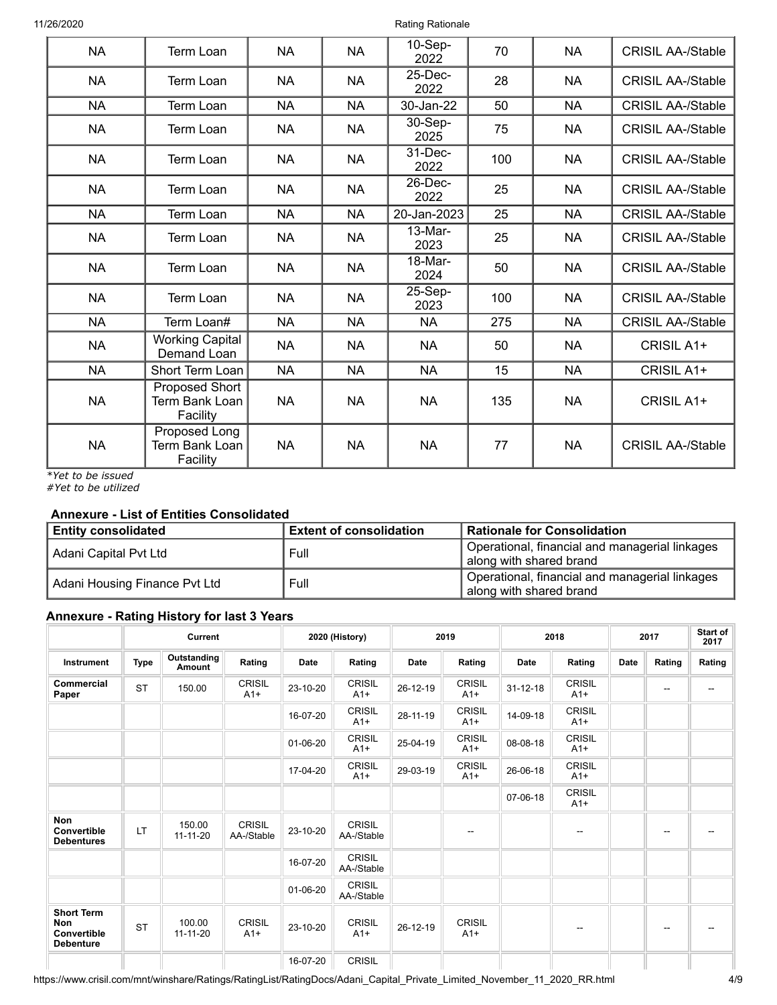| <b>NA</b> | <b>Term Loan</b>                             | <b>NA</b> | <b>NA</b> | $10-Sep-$<br>2022  | 70  | <b>NA</b> | <b>CRISIL AA-/Stable</b> |
|-----------|----------------------------------------------|-----------|-----------|--------------------|-----|-----------|--------------------------|
| <b>NA</b> | Term Loan                                    | <b>NA</b> | <b>NA</b> | 25-Dec-<br>2022    | 28  | <b>NA</b> | <b>CRISIL AA-/Stable</b> |
| <b>NA</b> | Term Loan                                    | <b>NA</b> | <b>NA</b> | 30-Jan-22          | 50  | <b>NA</b> | <b>CRISIL AA-/Stable</b> |
| <b>NA</b> | Term Loan                                    | <b>NA</b> | <b>NA</b> | 30-Sep-<br>2025    | 75  | <b>NA</b> | <b>CRISIL AA-/Stable</b> |
| <b>NA</b> | Term Loan                                    | <b>NA</b> | <b>NA</b> | $31$ -Dec-<br>2022 | 100 | <b>NA</b> | <b>CRISIL AA-/Stable</b> |
| <b>NA</b> | Term Loan                                    | <b>NA</b> | <b>NA</b> | $26$ -Dec-<br>2022 | 25  | <b>NA</b> | <b>CRISIL AA-/Stable</b> |
| <b>NA</b> | Term Loan                                    | <b>NA</b> | <b>NA</b> | 20-Jan-2023        | 25  | <b>NA</b> | <b>CRISIL AA-/Stable</b> |
| <b>NA</b> | Term Loan                                    | <b>NA</b> | <b>NA</b> | $13-Mar-$<br>2023  | 25  | <b>NA</b> | <b>CRISIL AA-/Stable</b> |
| <b>NA</b> | Term Loan                                    | <b>NA</b> | <b>NA</b> | 18-Mar-<br>2024    | 50  | <b>NA</b> | <b>CRISIL AA-/Stable</b> |
| <b>NA</b> | <b>Term Loan</b>                             | <b>NA</b> | <b>NA</b> | 25-Sep-<br>2023    | 100 | <b>NA</b> | <b>CRISIL AA-/Stable</b> |
| <b>NA</b> | Term Loan#                                   | <b>NA</b> | <b>NA</b> | <b>NA</b>          | 275 | <b>NA</b> | <b>CRISIL AA-/Stable</b> |
| <b>NA</b> | Working Capital<br>Demand Loan               | <b>NA</b> | <b>NA</b> | <b>NA</b>          | 50  | <b>NA</b> | CRISIL A1+               |
| <b>NA</b> | Short Term Loan                              | <b>NA</b> | <b>NA</b> | <b>NA</b>          | 15  | <b>NA</b> | CRISIL A1+               |
| <b>NA</b> | Proposed Short<br>Term Bank Loan<br>Facility | <b>NA</b> | <b>NA</b> | <b>NA</b>          | 135 | <b>NA</b> | CRISIL A1+               |
| <b>NA</b> | Proposed Long<br>Term Bank Loan<br>Facility  | <b>NA</b> | <b>NA</b> | <b>NA</b>          | 77  | <b>NA</b> | <b>CRISIL AA-/Stable</b> |

*\*Yet to be issued*

*#Yet to be utilized*

# **Annexure - List of Entities Consolidated**

| <b>Entity consolidated</b>                 | <b>Extent of consolidation</b> | <b>Rationale for Consolidation</b>                                                     |  |
|--------------------------------------------|--------------------------------|----------------------------------------------------------------------------------------|--|
| Adani Capital Pvt Ltd                      | Full                           | <sup>1</sup> Operational, financial and managerial linkages<br>along with shared brand |  |
| Adani Housing Finance Pvt Ltd <sup>1</sup> | Full                           | <sup>1</sup> Operational, financial and managerial linkages<br>along with shared brand |  |

## **Annexure - Rating History for last 3 Years**

|                                                             |             | Current                      |                             |             | 2020 (History)              | 2019        |                        | 2018           |                        | 2017 |                          | Start of<br>2017 |  |
|-------------------------------------------------------------|-------------|------------------------------|-----------------------------|-------------|-----------------------------|-------------|------------------------|----------------|------------------------|------|--------------------------|------------------|--|
| Instrument                                                  | <b>Type</b> | Outstanding<br><b>Amount</b> | Rating                      | <b>Date</b> | Rating                      | <b>Date</b> | Rating                 | <b>Date</b>    | Rating                 | Date | Rating                   | Rating           |  |
| Commercial<br>Paper                                         | <b>ST</b>   | 150.00                       | <b>CRISIL</b><br>$A1+$      | 23-10-20    | <b>CRISIL</b><br>$A1+$      | 26-12-19    | <b>CRISIL</b><br>$A1+$ | $31 - 12 - 18$ | <b>CRISIL</b><br>$A1+$ |      | $\overline{\phantom{a}}$ | --               |  |
|                                                             |             |                              |                             | 16-07-20    | <b>CRISIL</b><br>$A1+$      | 28-11-19    | <b>CRISIL</b><br>$A1+$ | 14-09-18       | <b>CRISIL</b><br>$A1+$ |      |                          |                  |  |
|                                                             |             |                              |                             | 01-06-20    | <b>CRISIL</b><br>$A1+$      | 25-04-19    | <b>CRISIL</b><br>$A1+$ | 08-08-18       | <b>CRISIL</b><br>$A1+$ |      |                          |                  |  |
|                                                             |             |                              |                             | 17-04-20    | <b>CRISIL</b><br>$A1+$      | 29-03-19    | <b>CRISIL</b><br>$A1+$ | 26-06-18       | <b>CRISIL</b><br>$A1+$ |      |                          |                  |  |
|                                                             |             |                              |                             |             |                             |             |                        | 07-06-18       | <b>CRISIL</b><br>$A1+$ |      |                          |                  |  |
| Non<br>Convertible<br><b>Debentures</b>                     | LT          | 150.00<br>11-11-20           | <b>CRISIL</b><br>AA-/Stable | 23-10-20    | <b>CRISIL</b><br>AA-/Stable |             |                        |                | --                     |      | --                       |                  |  |
|                                                             |             |                              |                             | 16-07-20    | <b>CRISIL</b><br>AA-/Stable |             |                        |                |                        |      |                          |                  |  |
|                                                             |             |                              |                             | 01-06-20    | <b>CRISIL</b><br>AA-/Stable |             |                        |                |                        |      |                          |                  |  |
| <b>Short Term</b><br>Non<br>Convertible<br><b>Debenture</b> | <b>ST</b>   | 100.00<br>$11 - 11 - 20$     | <b>CRISIL</b><br>$A1+$      | 23-10-20    | <b>CRISIL</b><br>$A1+$      | 26-12-19    | <b>CRISIL</b><br>$A1+$ |                | --                     |      | $\overline{\phantom{m}}$ |                  |  |
|                                                             |             |                              |                             | 16-07-20    | <b>CRISIL</b>               |             |                        |                |                        |      |                          |                  |  |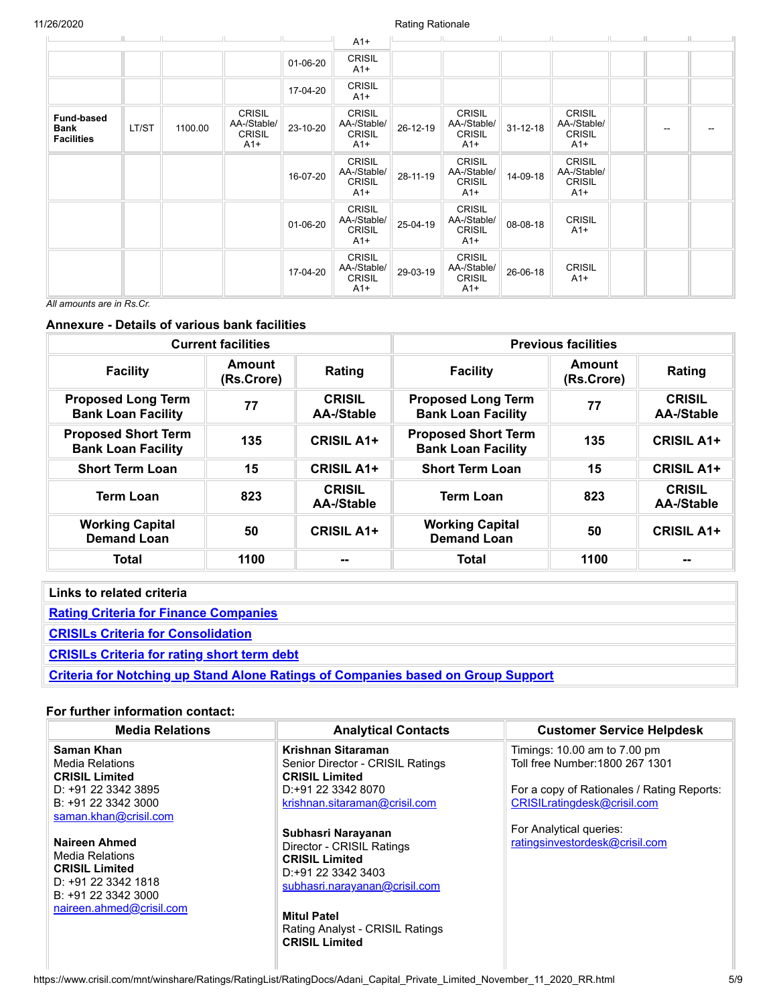|                                                |       |         |                                                        |          | $A1+$                                                  |          |                                                        |                |                                                        |    |  |
|------------------------------------------------|-------|---------|--------------------------------------------------------|----------|--------------------------------------------------------|----------|--------------------------------------------------------|----------------|--------------------------------------------------------|----|--|
|                                                |       |         |                                                        | 01-06-20 | <b>CRISIL</b><br>$A1+$                                 |          |                                                        |                |                                                        |    |  |
|                                                |       |         |                                                        | 17-04-20 | <b>CRISIL</b><br>$A1+$                                 |          |                                                        |                |                                                        |    |  |
| <b>Fund-based</b><br>Bank<br><b>Facilities</b> | LT/ST | 1100.00 | <b>CRISIL</b><br>AA-/Stable/<br><b>CRISIL</b><br>$A1+$ | 23-10-20 | <b>CRISIL</b><br>AA-/Stable/<br><b>CRISIL</b><br>$A1+$ | 26-12-19 | <b>CRISIL</b><br>AA-/Stable/<br><b>CRISIL</b><br>$A1+$ | $31 - 12 - 18$ | <b>CRISIL</b><br>AA-/Stable/<br><b>CRISIL</b><br>$A1+$ | -- |  |
|                                                |       |         |                                                        | 16-07-20 | <b>CRISIL</b><br>AA-/Stable/<br><b>CRISIL</b><br>$A1+$ | 28-11-19 | <b>CRISIL</b><br>AA-/Stable/<br><b>CRISIL</b><br>$A1+$ | 14-09-18       | <b>CRISIL</b><br>AA-/Stable/<br><b>CRISIL</b><br>$A1+$ |    |  |
|                                                |       |         |                                                        | 01-06-20 | <b>CRISIL</b><br>AA-/Stable/<br><b>CRISIL</b><br>$A1+$ | 25-04-19 | <b>CRISIL</b><br>AA-/Stable/<br><b>CRISIL</b><br>$A1+$ | 08-08-18       | <b>CRISIL</b><br>$A1+$                                 |    |  |
| $\overline{a}$                                 |       |         |                                                        | 17-04-20 | <b>CRISIL</b><br>AA-/Stable/<br><b>CRISIL</b><br>$A1+$ | 29-03-19 | <b>CRISIL</b><br>AA-/Stable/<br><b>CRISIL</b><br>$A1+$ | 26-06-18       | <b>CRISIL</b><br>$A1+$                                 |    |  |

*All amounts are in Rs.Cr.*

## **Annexure - Details of various bank facilities**

|                                                         | <b>Current facilities</b> |                                    | <b>Previous facilities</b>                              |                      |                                    |  |
|---------------------------------------------------------|---------------------------|------------------------------------|---------------------------------------------------------|----------------------|------------------------------------|--|
| <b>Facility</b>                                         | Amount<br>(Rs.Crore)      | Rating                             | <b>Facility</b>                                         | Amount<br>(Rs.Crore) | Rating                             |  |
| <b>Proposed Long Term</b><br><b>Bank Loan Facility</b>  | 77                        | <b>CRISIL</b><br><b>AA-/Stable</b> | <b>Proposed Long Term</b><br><b>Bank Loan Facility</b>  | 77                   | <b>CRISIL</b><br><b>AA-/Stable</b> |  |
| <b>Proposed Short Term</b><br><b>Bank Loan Facility</b> | 135                       | <b>CRISIL A1+</b>                  | <b>Proposed Short Term</b><br><b>Bank Loan Facility</b> | 135                  | <b>CRISIL A1+</b>                  |  |
| <b>Short Term Loan</b>                                  | 15                        | <b>CRISIL A1+</b>                  | <b>Short Term Loan</b>                                  | 15                   | <b>CRISIL A1+</b>                  |  |
| <b>Term Loan</b>                                        | 823                       | <b>CRISIL</b><br><b>AA-/Stable</b> | <b>Term Loan</b>                                        | 823                  | <b>CRISIL</b><br>AA-/Stable        |  |
| <b>Working Capital</b><br><b>Demand Loan</b>            | 50                        | <b>CRISIL A1+</b>                  | <b>Working Capital</b><br><b>Demand Loan</b>            | 50                   | <b>CRISIL A1+</b>                  |  |
| <b>Total</b>                                            | 1100                      | $-$                                | Total                                                   | 1100                 |                                    |  |

| Links to related criteria                                                               |
|-----------------------------------------------------------------------------------------|
| <b>Rating Criteria for Finance Companies</b>                                            |
| <b>CRISILs Criteria for Consolidation</b>                                               |
| <b>CRISILs Criteria for rating short term debt</b>                                      |
| <b>Criteria for Notching up Stand Alone Ratings of Companies based on Group Support</b> |

# **For further information contact:**

| <b>Media Relations</b>                                                                                                                                                                                                                                                        | <b>Analytical Contacts</b>                                                                                                                                                                                                                                                                                                                                   | <b>Customer Service Helpdesk</b>                                                                                                                                                                          |
|-------------------------------------------------------------------------------------------------------------------------------------------------------------------------------------------------------------------------------------------------------------------------------|--------------------------------------------------------------------------------------------------------------------------------------------------------------------------------------------------------------------------------------------------------------------------------------------------------------------------------------------------------------|-----------------------------------------------------------------------------------------------------------------------------------------------------------------------------------------------------------|
| Saman Khan<br>Media Relations<br><b>CRISIL Limited</b><br>D: +91 22 3342 3895<br>B: +91 22 3342 3000<br>saman.khan@crisil.com<br>Naireen Ahmed<br><b>Media Relations</b><br><b>CRISIL Limited</b><br>D: $+91$ 22 3342 1818<br>B: +91 22 3342 3000<br>naireen.ahmed@crisil.com | Krishnan Sitaraman<br>Senior Director - CRISIL Ratings<br><b>CRISIL Limited</b><br>D:+91 22 3342 8070<br>krishnan.sitaraman@crisil.com<br>Subhasri Narayanan<br>Director - CRISIL Ratings<br><b>CRISIL Limited</b><br>D: +91 22 3342 3403<br>subhasri.narayanan@crisil.com<br><b>Mitul Patel</b><br>Rating Analyst - CRISIL Ratings<br><b>CRISIL Limited</b> | Timings: 10.00 am to 7.00 pm<br>Toll free Number: 1800 267 1301<br>For a copy of Rationales / Rating Reports:<br>CRISILratingdesk@crisil.com<br>For Analytical queries:<br>ratingsinvestordesk@crisil.com |
|                                                                                                                                                                                                                                                                               |                                                                                                                                                                                                                                                                                                                                                              |                                                                                                                                                                                                           |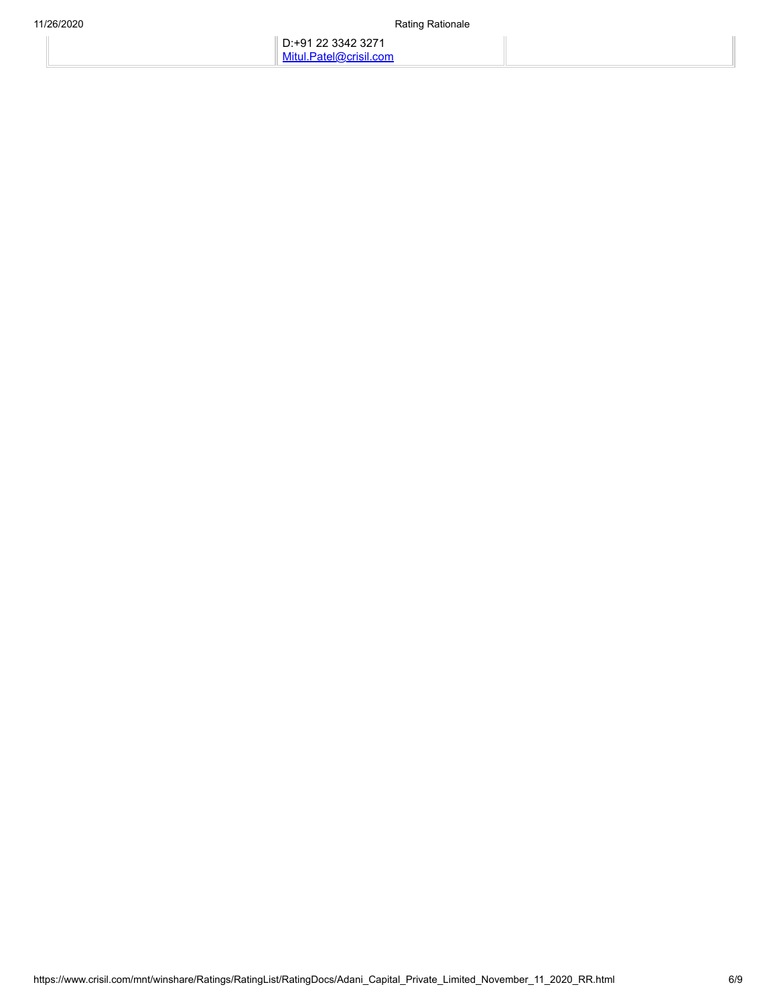D:+91 22 3342 3271 [Mitul.Patel@crisil.com](mailto:Mitul.Patel@crisil.com)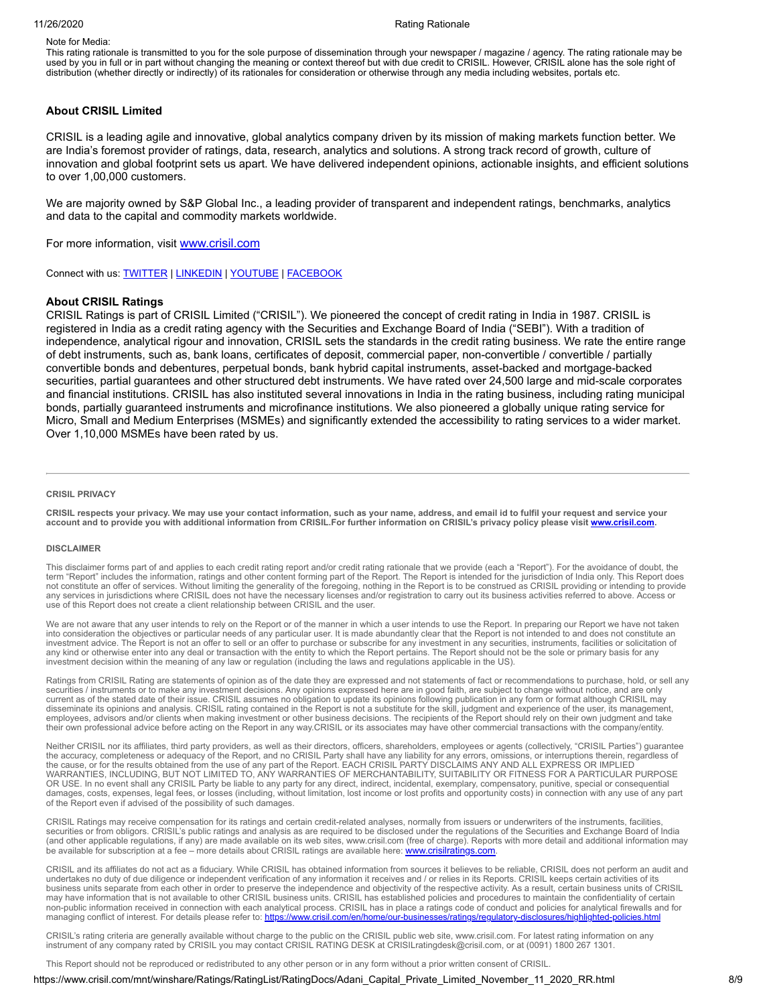Note for Media:

This rating rationale is transmitted to you for the sole purpose of dissemination through your newspaper / magazine / agency. The rating rationale may be used by you in full or in part without changing the meaning or context thereof but with due credit to CRISIL. However, CRISIL alone has the sole right of distribution (whether directly or indirectly) of its rationales for consideration or otherwise through any media including websites, portals etc.

#### **About CRISIL Limited**

CRISIL is a leading agile and innovative, global analytics company driven by its mission of making markets function better. We are India's foremost provider of ratings, data, research, analytics and solutions. A strong track record of growth, culture of innovation and global footprint sets us apart. We have delivered independent opinions, actionable insights, and efficient solutions to over 1,00,000 customers.

We are majority owned by S&P Global Inc., a leading provider of transparent and independent ratings, benchmarks, analytics and data to the capital and commodity markets worldwide.

For more information, visit [www.crisil.com](http://www.crisil.com/)

Connect with us: [TWITTER](https://twitter.com/CRISILLimited) | [LINKEDIN](http://www.linkedin.com/company/crisil) | [YOUTUBE](https://www.youtube.com/user/CRISILLimited) | [FACEBOOK](https://www.facebook.com/CRISILLimited)

#### **About CRISIL Ratings**

CRISIL Ratings is part of CRISIL Limited ("CRISIL"). We pioneered the concept of credit rating in India in 1987. CRISIL is registered in India as a credit rating agency with the Securities and Exchange Board of India ("SEBI"). With a tradition of independence, analytical rigour and innovation, CRISIL sets the standards in the credit rating business. We rate the entire range of debt instruments, such as, bank loans, certificates of deposit, commercial paper, non-convertible / convertible / partially convertible bonds and debentures, perpetual bonds, bank hybrid capital instruments, asset-backed and mortgage-backed securities, partial guarantees and other structured debt instruments. We have rated over 24,500 large and mid-scale corporates and financial institutions. CRISIL has also instituted several innovations in India in the rating business, including rating municipal bonds, partially guaranteed instruments and microfinance institutions. We also pioneered a globally unique rating service for Micro, Small and Medium Enterprises (MSMEs) and significantly extended the accessibility to rating services to a wider market. Over 1,10,000 MSMEs have been rated by us.

#### **CRISIL PRIVACY**

CRISIL respects your privacy. We may use your contact information, such as your name, address, and email id to fulfil your request and service your account and to provide you with additional information from CRISIL.For further information on CRISIL's privacy policy please visit www.crisil.com

#### **DISCLAIMER**

This disclaimer forms part of and applies to each credit rating report and/or credit rating rationale that we provide (each a "Report"). For the avoidance of doubt, the<br>term "Report" includes the information, ratings and o not constitute an offer of services. Without limiting the generality of the foregoing, nothing in the Report is to be construed as CRISIL providing or intending to provide any services in jurisdictions where CRISIL does not have the necessary licenses and/or registration to carry out its business activities referred to above. Access or use of this Report does not create a client relationship between CRISIL and the user.

We are not aware that any user intends to rely on the Report or of the manner in which a user intends to use the Report. In preparing our Report we have not taken into consideration the objectives or particular needs of any particular user. It is made abundantly clear that the Report is not intended to and does not constitute an investment advice. The Report is not an offer to sell or an offer to purchase or subscribe for any investment in any securities, instruments, facilities or solicitation of any kind or otherwise enter into any deal or transaction with the entity to which the Report pertains. The Report should not be the sole or primary basis for any investment decision within the meaning of any law or regulation (including the laws and regulations applicable in the US).

Ratings from CRISIL Rating are statements of opinion as of the date they are expressed and not statements of fact or recommendations to purchase, hold, or sell any securities / instruments or to make any investment decisions. Any opinions expressed here are in good faith, are subject to change without notice, and are only current as of the stated date of their issue. CRISIL assumes no obligation to update its opinions following publication in any form or format although CRISIL may disseminate its opinions and analysis. CRISIL rating contained in the Report is not a substitute for the skill, judgment and experience of the user, its management,<br>employees, advisors and/or clients when making investment their own professional advice before acting on the Report in any way.CRISIL or its associates may have other commercial transactions with the company/entity.

Neither CRISIL nor its affiliates, third party providers, as well as their directors, officers, shareholders, employees or agents (collectively, "CRISIL Parties") guarantee<br>the accuracy, completeness or adequacy of the Rep OR USE. In no event shall any CRISIL Party be liable to any party for any direct, indirect, incidental, exemplary, compensatory, punitive, special or consequential damages, costs, expenses, legal fees, or losses (including, without limitation, lost income or lost profits and opportunity costs) in connection with any use of any part of the Report even if advised of the possibility of such damages.

CRISIL Ratings may receive compensation for its ratings and certain credit-related analyses, normally from issuers or underwriters of the instruments, facilities, securities or from obligors. CRISIL's public ratings and analysis as are required to be disclosed under the regulations of the Securities and Exchange Board of India (and other applicable regulations, if any) are made available on its web sites, www.crisil.com (free of charge). Reports with more detail and additional information may be available for subscription at a fee – more details about CRISIL ratings are available here: [www.crisilratings.com](http://www.crisilratings.com/).

CRISIL and its affiliates do not act as a fiduciary. While CRISIL has obtained information from sources it believes to be reliable, CRISIL does not perform an audit and undertakes no duty of due diligence or independent verification of any information it receives and / or relies in its Reports. CRISIL keeps certain activities of its<br>business units separate from each other in order to pres may have information that is not available to other CRISIL business units. CRISIL has established policies and procedures to maintain the confidentiality of certain non-public information received in connection with each analytical process. CRISIL has in place a ratings code of conduct and policies for analytical firewalls and for managing conflict of interest. For details please refer to: https://www.crisil.com/en/home/our-businesses/ratings/regulatory

CRISIL's rating criteria are generally available without charge to the public on the CRISIL public web site, www.crisil.com. For latest rating information on any instrument of any company rated by CRISIL you may contact CRISIL RATING DESK at CRISILratingdesk@crisil.com, or at (0091) 1800 267 1301.

This Report should not be reproduced or redistributed to any other person or in any form without a prior written consent of CRISIL.

https://www.crisil.com/mnt/winshare/Ratings/RatingList/RatingDocs/Adani\_Capital\_Private\_Limited\_November\_11\_2020\_RR.html 8/9